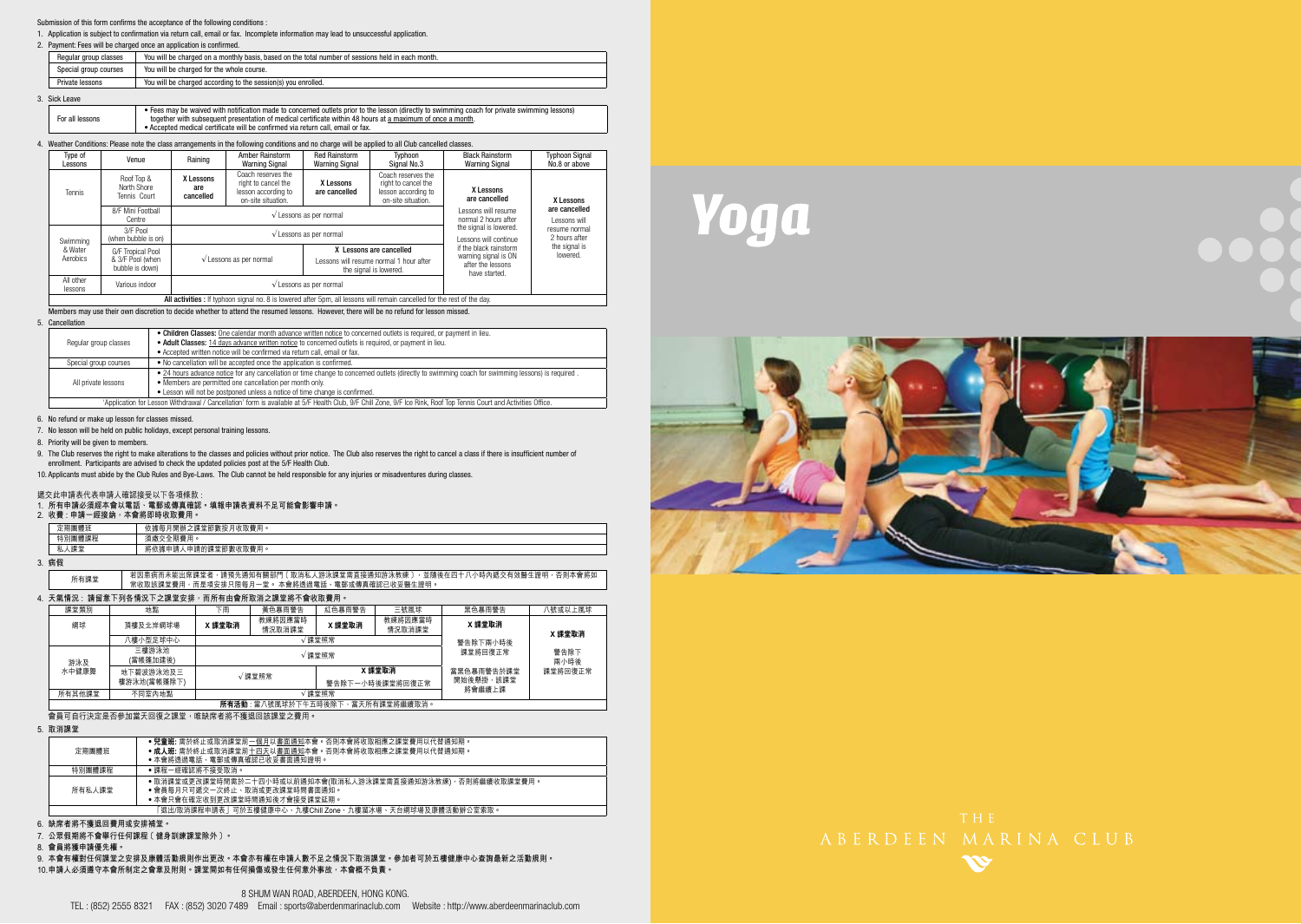### Submission of this form confirms the acceptance of the following conditions :

1. Application is subject to confirmation via return call, email or fax. Incomplete information may lead to unsuccessful application.

### 2. Payment: Fees will be charged once an application is confirmed.

|                                                                                  | Regular group classes | You will be charged on a monthly basis, based on the total number of sessions held in each month. |  |  |  |
|----------------------------------------------------------------------------------|-----------------------|---------------------------------------------------------------------------------------------------|--|--|--|
|                                                                                  | Special group courses | You will be charged for the whole course.                                                         |  |  |  |
| Private lessons<br>You will be charged according to the session(s) you enrolled. |                       |                                                                                                   |  |  |  |

### 3. Sick Leave

| all lessons<br>F٥ | r private swimming lessons).<br>• Fees may be waived with notification<br>a made to concerned outlets prior to the lesson (directly to swimming coach for $\cdot$<br>r with subsequent presentation of medical certificate within 48 hours at a maximum of once a month.<br>together |
|-------------------|--------------------------------------------------------------------------------------------------------------------------------------------------------------------------------------------------------------------------------------------------------------------------------------|
|                   | • Accepted medical certificate will be confirmed via return call, email or fax.                                                                                                                                                                                                      |

### 4. Weather Conditions: Please note the class arrangements in the following conditions and no charge will be applied to all Club cancelled classes.

| Type of<br>Lessons   | Venue                                     | Raining                       | <b>Amber Rainstorm</b><br>Warning Signal                                               | <b>Red Rainstorm</b><br>Warning Signal | Typhoon<br>Signal No.3                                                                 | <b>Black Rainstorm</b><br>Warning Signal                   | <b>Typhoon Signal</b><br>No.8 or above |  |
|----------------------|-------------------------------------------|-------------------------------|----------------------------------------------------------------------------------------|----------------------------------------|----------------------------------------------------------------------------------------|------------------------------------------------------------|----------------------------------------|--|
| Tennis               | Roof Top &<br>North Shore<br>Tennis Court | X Lessons<br>are<br>cancelled | Coach reserves the<br>right to cancel the<br>lesson according to<br>on-site situation. | X Lessons<br>are cancelled             | Coach reserves the<br>right to cancel the<br>lesson according to<br>on-site situation. | X Lessons<br>are cancelled                                 | X Lessons                              |  |
|                      | 8/F Mini Football<br>Centre               |                               | $\sqrt{\ }$ Lessons as per normal                                                      |                                        | I essons will resume<br>normal 2 hours after                                           | are cancelled<br>I essons will                             |                                        |  |
| Swimming             | 3/F Pool<br>(when bubble is on)           |                               |                                                                                        | $\sqrt{\ }$ Lessons as per normal      |                                                                                        | the signal is lowered.<br>essons will continue             | resume normal<br>2 hours after         |  |
| & Water              | G/F Tropical Pool                         |                               |                                                                                        | X Lessons are cancelled                | if the black rainstorm                                                                 | the signal is<br>lowered.                                  |                                        |  |
| Aerobics             | & 3/F Pool (when<br>bubble is down)       |                               | $\sqrt{\ }$ Lessons as per normal                                                      |                                        | Lessons will resume normal 1 hour after<br>the signal is lowered.                      | warning signal is ON<br>after the lessons<br>have started. |                                        |  |
| All other<br>lessons | Various indoor                            |                               | $\sqrt{\ }$ Lessons as per normal                                                      |                                        |                                                                                        |                                                            |                                        |  |

All activities : If typhoon signal no. 8 is lowered after 5pm, all lessons will remain cancelled for the rest of the day.

Members may use their own discretion to decide whether to attend the resumed lessons. However, there will be no refund for lesson missed.

### 5. Cancellation

|                                                                                 | . Children Classes: One calendar month advance written notice to concerned outlets is required, or payment in lieu.                                                 |  |  |  |  |
|---------------------------------------------------------------------------------|---------------------------------------------------------------------------------------------------------------------------------------------------------------------|--|--|--|--|
| Regular group classes                                                           | . Adult Classes: 14 days advance written notice to concerned outlets is required, or payment in lieu.                                                               |  |  |  |  |
|                                                                                 | . Accepted written notice will be confirmed via return call, email or fax,                                                                                          |  |  |  |  |
| Special group courses                                                           | . No cancellation will be accepted once the application is confirmed.                                                                                               |  |  |  |  |
|                                                                                 | . 24 hours advance notice for any cancellation or time change to concerned outlets (directly to swimming coach for swimming lessons) is required.                   |  |  |  |  |
| • Members are permitted one cancellation per month only.<br>All private lessons |                                                                                                                                                                     |  |  |  |  |
| • Lesson will not be postponed unless a notice of time change is confirmed.     |                                                                                                                                                                     |  |  |  |  |
|                                                                                 | 'Application for Lesson Withdrawal / Cancellation' form is available at 5/F Health Club, 9/F Chill Zone, 9/F Ice Rink, Roof Top Tennis Court and Activities Office, |  |  |  |  |

6. No refund or make up lesson for classes missed.

7. No lesson will be held on public holidays, except personal training lessons.

8. Priority will be given to members.

9. The Club reserves the right to make alterations to the classes and policies without prior notice. The Club also reserves the right to cancel a class if there is insufficient number of enrollment. Participants are advised to check the updated policies post at the 5/F Health Club.

10. Applicants must abide by the Club Rules and Bye-Laws. The Club cannot be held responsible for any injuries or misadventures during classes.

### 遞交此申請表代表申請人確認接受以下各項條款 :

### **1. 所有申請必須經本會以電話、電郵或傳真確認。填報申請表資料不足可能會影響申請。**

### **2. 收費 : 申請一經接納,本會將即時收取費用。**

| ▭<br>正<br>м      | 書用<br>謝按<br>: 尚節<br>每<br>ार<br> 開勤<br>$\circ$<br>10.<br><b>RW</b><br>: EP 39<br>$-40.7$ |
|------------------|-----------------------------------------------------------------------------------------|
| 特別團<br>5.武术生     | ☆全期#<br>用<br>×                                                                          |
| 细岩<br>÷I.<br>TD. | (堂節數收)<br>用<br>申請的課<br>45<br>$\circ$<br>將低騰甲請.                                          |

**3. 病假**

| 所有課堂 | 若因患病而未能出席課堂者,請預先通知有關部門〔取消私人游泳課堂需直接通知游泳教練〕,並隨後在四十八小時內遞交有效醫生證明,否則本會將如 |
|------|---------------------------------------------------------------------|
|      | 常收取該課堂費用,而是項安排只限每月一堂。 本會將透過電話、電郵或傳真確認已收妥醫生證明。                       |

### **4. 天氣情況 : 請留意下列各情況下之課堂安排,而所有由會所取消之課堂將不會收取費用。**

| 課堂類別   | 地點                                 | 下雨       | 黃色暴雨警告            | 紅色暴雨警告 | 三號風球              | 黑色暴雨警告       | 八號或以上風球 |  |
|--------|------------------------------------|----------|-------------------|--------|-------------------|--------------|---------|--|
| 網球     | 頂樓及北岸網球場                           | X 課堂取消   | 教練將因應當時<br>情況取消課堂 | X 課堂取消 | 教練將因應當時<br>情況取消課堂 | X 課堂取消       | X 課堂取消  |  |
|        | 八樓小型足球中心                           | 警告除下兩小時後 |                   |        |                   |              |         |  |
| 游泳及    | 三樓游泳池<br>(當帳篷加建後)                  | √課堂照常    |                   |        | 課堂將回復正常           | 警告除下<br>兩小時後 |         |  |
| 水中健康舞  | 地下碧波游泳池及三                          | √課堂照常    |                   |        | X 課堂取消            | 當里色暴雨警告於課堂   | 課堂將回復正常 |  |
|        | 樓游泳池(當帳蓬除下)                        |          | 警告除下一小時後課堂將回復正常   |        | 開始後懸掛,該課堂         |              |         |  |
| 所有其他課堂 | 不同室內地點                             | 課堂照常     |                   |        | 將會繼續上課            |              |         |  |
|        | 所有活動 : 當八號風球於下午五時後除下, 當天所有課堂將繼續取消。 |          |                   |        |                   |              |         |  |

會員可自行決定是否參加當天回復之課堂,唯缺席者將不獲退回該課堂之費用。

**5. 取消課堂**

| ᄴᄭᄀᄢᅩ                                                    |                                                                                                                                     |  |  |  |
|----------------------------------------------------------|-------------------------------------------------------------------------------------------------------------------------------------|--|--|--|
| 定期團體班                                                    | ● 兒童班: 需於終止或取消課堂前一個月以書面通知本會。否則本會將收取相應之課堂費用以代替通知期。<br>●成人班: 需於終止或取消課堂前十四天以書面通知本會。否則本會將收取相應之課堂費用以代替通知期。<br>●本會將诱過電話、電郵或傳真確認已收妥書面诵知證明。 |  |  |  |
| 特別團體課程                                                   | ● 課程ー經確認將不接受取消。                                                                                                                     |  |  |  |
| 所有私人課堂                                                   | ● 取消課堂或更改課堂時間需於二十四小時或以前通知本會(取消私人游泳課堂需直接通知游泳教練),否則將繼續收取課堂費用。<br>●會員每月只可遞交ー次終止、取消或更改課堂時間書面通知。<br>●本會只會在確定收到更改課堂時間涌知後才會接受課堂延期。         |  |  |  |
| 「退出/取消課程申請表丨可於五樓健康中心、九樓Chill Zone、九樓溜冰場、天台網球場及康體活動辦公室索取。 |                                                                                                                                     |  |  |  |

### **6. 缺席者將不獲退回費用或安排補堂。**

**7. 公眾假期將不會舉行任何課程﹝健身訓練課堂除外﹞。**

**8. 會員將獲申請優先權。**

**9. 本會有權對任何課堂之安排及康體活動規則作出更改。本會亦有權在申請人數不足之情況下取消課堂。參加者可於五樓健康中心查詢最新之活動規則。 10. 申請人必須遵守本會所制定之會章及附則。課堂間如有任何損傷或發生任何意外事故,本會概不負責。**

Yoga



# KG